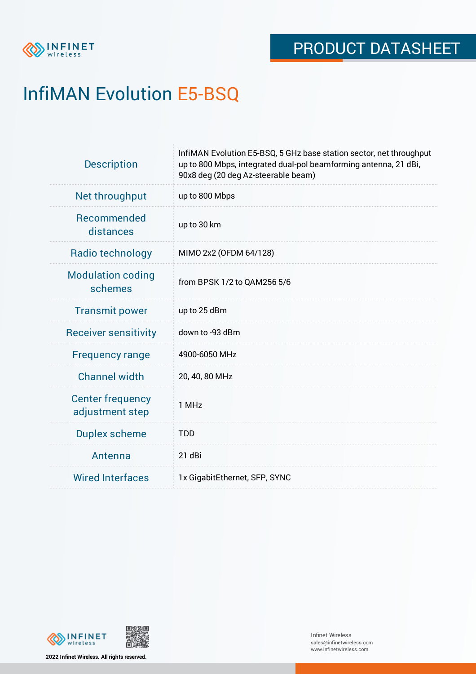

# InfiMAN Evolution E5-BSQ

| <b>Description</b>                         | InfiMAN Evolution E5-BSQ, 5 GHz base station sector, net throughput<br>up to 800 Mbps, integrated dual-pol beamforming antenna, 21 dBi,<br>90x8 deg (20 deg Az-steerable beam) |
|--------------------------------------------|--------------------------------------------------------------------------------------------------------------------------------------------------------------------------------|
| Net throughput                             | up to 800 Mbps                                                                                                                                                                 |
| Recommended<br>distances                   | up to 30 km                                                                                                                                                                    |
| Radio technology                           | MIMO 2x2 (OFDM 64/128)                                                                                                                                                         |
| <b>Modulation coding</b><br>schemes        | from BPSK 1/2 to QAM256 5/6                                                                                                                                                    |
| <b>Transmit power</b>                      | up to 25 dBm                                                                                                                                                                   |
| <b>Receiver sensitivity</b>                | down to -93 dBm                                                                                                                                                                |
| <b>Frequency range</b>                     | 4900-6050 MHz                                                                                                                                                                  |
| <b>Channel width</b>                       | 20, 40, 80 MHz                                                                                                                                                                 |
| <b>Center frequency</b><br>adjustment step | 1 MHz                                                                                                                                                                          |
| <b>Duplex scheme</b>                       | <b>TDD</b>                                                                                                                                                                     |
| Antenna                                    | 21 dBi                                                                                                                                                                         |
| <b>Wired Interfaces</b>                    | 1x GigabitEthernet, SFP, SYNC                                                                                                                                                  |





**2022 Infinet Wireless. All rights reserved.**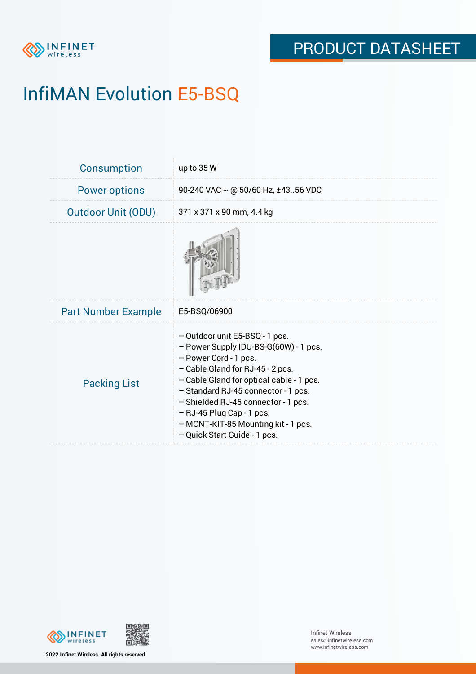

# InfiMAN Evolution E5-BSQ

| <b>Consumption</b>         | up to $35W$                                                                                                                                                                                                                                                                                                                                                        |
|----------------------------|--------------------------------------------------------------------------------------------------------------------------------------------------------------------------------------------------------------------------------------------------------------------------------------------------------------------------------------------------------------------|
| <b>Power options</b>       | 90-240 VAC $\sim$ @ 50/60 Hz, ±4356 VDC                                                                                                                                                                                                                                                                                                                            |
| <b>Outdoor Unit (ODU)</b>  | 371 x 371 x 90 mm, 4.4 kg                                                                                                                                                                                                                                                                                                                                          |
|                            |                                                                                                                                                                                                                                                                                                                                                                    |
| <b>Part Number Example</b> | E5-BSQ/06900                                                                                                                                                                                                                                                                                                                                                       |
| <b>Packing List</b>        | - Outdoor unit E5-BSQ - 1 pcs.<br>- Power Supply IDU-BS-G(60W) - 1 pcs.<br>- Power Cord - 1 pcs.<br>- Cable Gland for RJ-45 - 2 pcs.<br>- Cable Gland for optical cable - 1 pcs.<br>- Standard RJ-45 connector - 1 pcs.<br>- Shielded RJ-45 connector - 1 pcs.<br>- RJ-45 Plug Cap - 1 pcs.<br>- MONT-KIT-85 Mounting kit - 1 pcs.<br>- Quick Start Guide - 1 pcs. |





**2022 Infinet Wireless. All rights reserved.**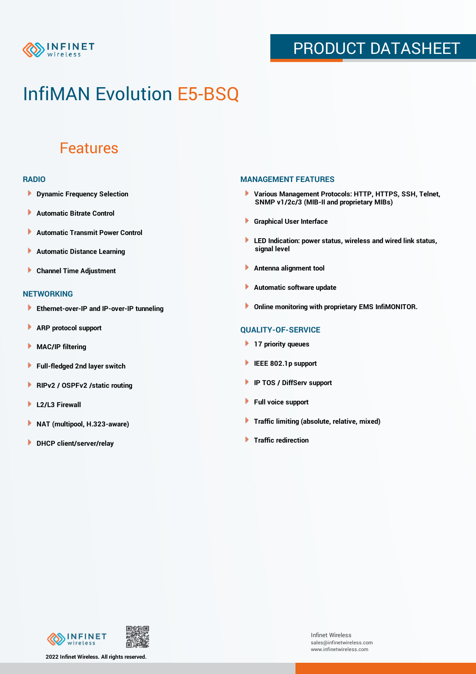

## PRODUCT DATASHEET

## InfiMAN Evolution E5-BSQ

### Features

#### **RADIO**

- **Dynamic Frequency Selection**
- ٠ **Automatic Bitrate Control**
- **Automatic Transmit Power Control** ь
- Þ **Automatic Distance Learning**
- Þ **Channel Time Adjustment**

### **NETWORKING**

- ь **Ethernet-over-IP and IP-over-IP tunneling**
- Þ **ARP protocol support**
- **MAC/IP filtering**
- **Full-fledged 2nd layer switch**
- **RIPv2 / OSPFv2 /static routing**
- **L2/L3 Firewall** Þ
- Þ **NAT (multipool, H.323-aware)**
- **DHCP client/server/relay**

### **MANAGEMENT FEATURES**

- **Various Management Protocols: HTTP, HTTPS, SSH, Telnet, SNMP v1/2c/3 (MIB-II and proprietary MIBs)**
- **Graphical User Interface**
- **LED Indication: power status, wireless and wired link status, signal level**
- **Antenna alignment tool**
- ٠ **Automatic software update**
- **Online monitoring with proprietary EMS InfiMONITOR.**

### **QUALITY-OF-SERVICE**

- **17 priority queues**
- **IEEE 802.1p support**
- **IP TOS / DiffServ support**
- ٠ **Full voice support**
- **Traffic limiting (absolute, relative, mixed)**
- **Traffic redirection**